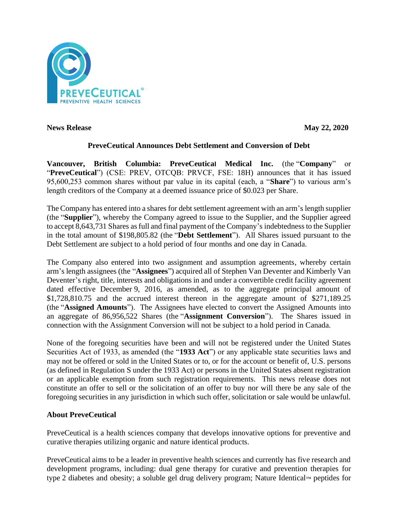

**News Release May 22, 2020**

# **PreveCeutical Announces Debt Settlement and Conversion of Debt**

**Vancouver, British Columbia: PreveCeutical Medical Inc.** (the "**Company**" or "**PreveCeutical**") (CSE: PREV, OTCQB: PRVCF, FSE: 18H) announces that it has issued 95,600,253 common shares without par value in its capital (each, a "**Share**") to various arm's length creditors of the Company at a deemed issuance price of \$0.023 per Share.

The Company has entered into a shares for debt settlement agreement with an arm's length supplier (the "**Supplier**"), whereby the Company agreed to issue to the Supplier, and the Supplier agreed to accept 8,643,731 Shares as full and final payment of the Company's indebtedness to the Supplier in the total amount of \$198,805.82 (the "**Debt Settlement**"). All Shares issued pursuant to the Debt Settlement are subject to a hold period of four months and one day in Canada.

The Company also entered into two assignment and assumption agreements, whereby certain arm's length assignees (the "**Assignees**") acquired all of Stephen Van Deventer and Kimberly Van Deventer's right, title, interests and obligations in and under a convertible credit facility agreement dated effective December 9, 2016, as amended, as to the aggregate principal amount of \$1,728,810.75 and the accrued interest thereon in the aggregate amount of \$271,189.25 (the "**Assigned Amounts**"). The Assignees have elected to convert the Assigned Amounts into an aggregate of 86,956,522 Shares (the "**Assignment Conversion**"). The Shares issued in connection with the Assignment Conversion will not be subject to a hold period in Canada.

None of the foregoing securities have been and will not be registered under the United States Securities Act of 1933, as amended (the "**1933 Act**") or any applicable state securities laws and may not be offered or sold in the United States or to, or for the account or benefit of, U.S. persons (as defined in Regulation S under the 1933 Act) or persons in the United States absent registration or an applicable exemption from such registration requirements. This news release does not constitute an offer to sell or the solicitation of an offer to buy nor will there be any sale of the foregoing securities in any jurisdiction in which such offer, solicitation or sale would be unlawful.

# **About PreveCeutical**

PreveCeutical is a health sciences company that develops innovative options for preventive and curative therapies utilizing organic and nature identical products.

PreveCeutical aims to be a leader in preventive health sciences and currently has five research and development programs, including: dual gene therapy for curative and prevention therapies for type 2 diabetes and obesity; a soluble gel drug delivery program; Nature Identical™ peptides for